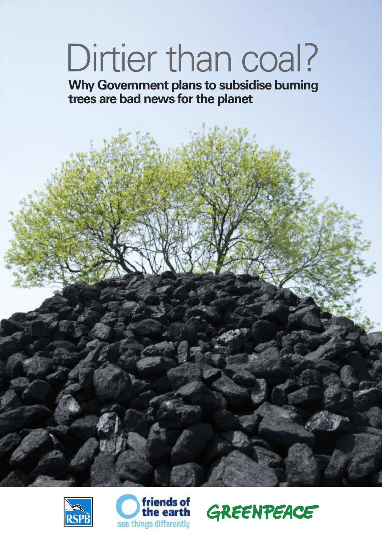#### Dirtier than coal?

**Why Government plans to subsidise burning trees are bad news forthe planet**





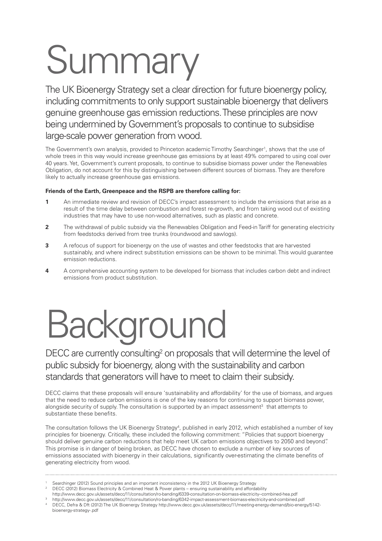## Summary

The UK Bioenergy Strategy set a clear direction for future bioenergy policy, including commitments to only support sustainable bioenergy that delivers genuine greenhouse gas emission reductions.These principles are now being undermined by Government's proposals to continue to subsidise large-scale power generation from wood.

The Government's own analysis, provided to Princeton academic Timothy Searchinger<sup>1</sup>, shows that the use of whole trees in this way would increase greenhouse gas emissions by at least 49% compared to using coal over 40 years. Yet, Government's current proposals, to continue to subsidise biomass power under the Renewables Obligation, do not account for this by distinguishing between different sources of biomass. They are therefore likely to actually increase greenhouse gas emissions.

#### **Friends of the Earth, Greenpeace and the RSPB are therefore calling for:**

- **1** An immediate review and revision of DECC's impact assessment to include the emissions that arise as a result of the time delay between combustion and forest re-growth, and from taking wood out of existing industries that may have to use non-wood alternatives, such as plastic and concrete.
- **2** The withdrawal of public subsidy via the Renewables Obligation and Feed-in Tariff for generating electricity from feedstocks derived from tree trunks (roundwood and sawlogs).
- **3** A refocus of support for bioenergy on the use of wastes and other feedstocks that are harvested sustainably, and where indirect substitution emissions can be shown to be minimal. This would guarantee emission reductions.
- **4** A comprehensive accounting system to be developed for biomass that includes carbon debt and indirect emissions from product substitution.

### **Background**

DECC are currently consulting<sup>2</sup> on proposals that will determine the level of public subsidy for bioenergy, along with the sustainability and carbon standards that generators will have to meet to claim their subsidy.

DECC claims that these proposals will ensure 'sustainability and affordability' for the use of biomass, and argues that the need to reduce carbon emissions is one of the key reasons for continuing to support biomass power, alongside security of supply. The consultation is supported by an impact assessment<sup>3</sup> that attempts to substantiate these benefits.

The consultation follows the UK Bioenergy Strategy<sup>4</sup>, published in early 2012, which established a number of key principles for bioenergy. Critically, these included the following commitment: "Policies that support bioenergy should deliver genuine carbon reductions that help meet UK carbon emissions objectives to 2050 and beyond". This promise is in danger of being broken, as DECC have chosen to exclude a number of key sources of emissions associated with bioenergy in their calculations, significantly over-estimating the climate benefits of generating electricity from wood.

- Searchinger (2012) Sound principles and an important inconsistency in the 2012 UK Bioenergy Strategy
- <sup>2</sup> DECC (2012) Biomass Electricity & Combined Heat & Power plants ensuring sustainability and affordability
- http://www.decc.gov.uk/assets/decc/11/consultation/ro-banding/6339-consultation-on-biomass-electricity--combined-hea.pdf
- <sup>3</sup> http://www.decc.gov.uk/assets/decc/11/consultation/ro-banding/6342-impact-assessment-biomass-electricity-and-combined.pdf
- <sup>4</sup> DECC, Defra & Dft (2012) The UK Bioenergy Strategy http://www.decc.gov.uk/assets/decc/11/meeting-energy-demand/bio-energy/5142 bioenergy-strategy-.pdf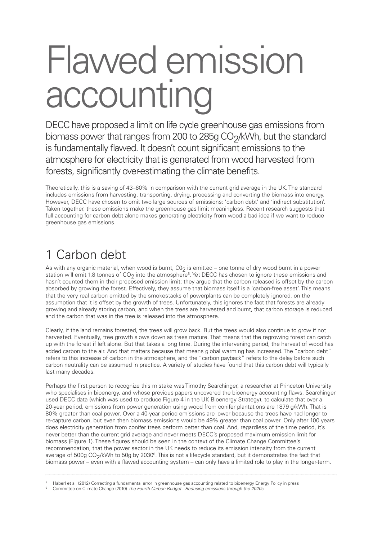#### Flawed emission accounting

DECC have proposed a limit on life cycle greenhouse gas emissions from biomass power that ranges from 200 to 285g  $CO<sub>2</sub>/kWh$ , but the standard is fundamentally flawed. It doesn't count significant emissions to the atmosphere for electricity that is generated from wood harvested from forests, significantly over-estimating the climate benefits.

Theoretically, this is a saving of 43–60% in comparison with the current grid average in the UK. The standard includes emissions from harvesting, transporting, drying, processing and converting the biomass into energy, However, DECC have chosen to omit two large sources of emissions: 'carbon debt' and 'indirect substitution'. Taken together, these omissions make the greenhouse gas limit meaningless. Recent research suggests that full accounting for carbon debt alone makes generating electricity from wood a bad idea if we want to reduce greenhouse gas emissions.

#### 1 Carbon debt

As with any organic material, when wood is burnt,  $CO<sub>2</sub>$  is emitted – one tonne of dry wood burnt in a power station will emit 1.8 tonnes of  $CO<sub>2</sub>$  into the atmosphere<sup>5</sup>. Yet DECC has chosen to ignore these emissions and hasn't counted them in their proposed emission limit; they argue that the carbon released is offset by the carbon absorbed by growing the forest. Effectively, they assume that biomass itself is a 'carbon-free asset'. This means that the very real carbon emitted by the smokestacks of powerplants can be completely ignored, on the assumption that it is offset by the growth of trees. Unfortunately, this ignores the fact that forests are already growing and already storing carbon, and when the trees are harvested and burnt, that carbon storage is reduced and the carbon that was in the tree is released into the atmosphere.

Clearly, if the land remains forested, the trees will grow back. But the trees would also continue to grow if not harvested. Eventually, tree growth slows down as trees mature. That means that the regrowing forest can catch up with the forest if left alone. But that takes a long time. During the intervening period, the harvest of wood has added carbon to the air. And that matters because that means global warming has increased. The "carbon debt" refers to this increase of carbon in the atmosphere, and the "carbon payback" refers to the delay before such carbon neutrality can be assumed in practice. A variety of studies have found that this carbon debt will typically last many decades.

Perhaps the first person to recognize this mistake was Timothy Searchinger, a researcher at Princeton University who specialises in bioenergy, and whose previous papers uncovered the bioenergy accounting flaws. Searchinger used DECC data (which was used to produce Figure 4 in the UK Bioenergy Strategy), to calculate that over a 20-year period, emissions from power generation using wood from conifer plantations are 1879 g/kWh. That is 80% greater than coal power. Over a 40-year period emissions are lower because the trees have had longer to re-capture carbon, but even then biomass emissions would be 49% greater than coal power. Only after 100 years does electricity generation from conifer trees perform better than coal. And, regardless of the time period, it's never better than the current grid average and never meets DECC's proposed maximum emission limit for biomass (Figure 1). These figures should be seen in the context of the Climate Change Committee's recommendation, that the power sector in the UK needs to reduce its emission intensity from the current average of 500g CO<sub>2</sub>/kWh to 50g by 2030<sup>6</sup>. This is not a lifecycle standard, but it demonstrates the fact that biomass power – even with a flawed accounting system – can only have a limited role to play in the longer-term.

<sup>5</sup> Haberl et al. (2012) Correcting a fundamental error in greenhouse gas accounting related to bioenergy Energy Policy in press <sup>6</sup> Committee on Climate Change (2010) *The Fourth Carbon Budget - Reducing emissions through the 2020s*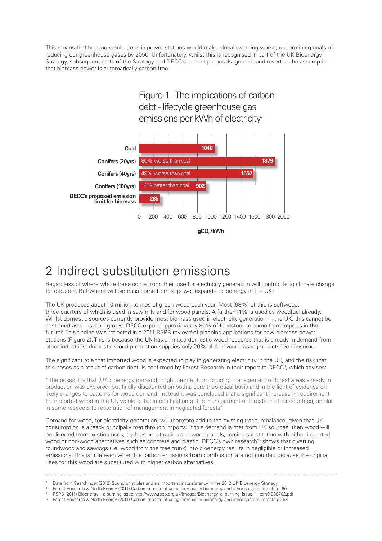This means that burning whole trees in power stations would make global warming worse, undermining goals of reducing our greenhouse gases by 2050. Unfortunately, whilst this is recognised in part of the UK Bioenergy Strategy, subsequent parts of the Strategy and DECC's current proposals ignore it and revert to the assumption that biomass power is automatically carbon free.





#### 2 Indirect substitution emissions

Regardless of where whole trees come from, their use for electricity generation will contribute to climate change for decades. But where will biomass come from to power expanded bioenergy in the UK?

The UK produces about 10 million tonnes of green wood each year. Most (98%) of this is softwood, three-quarters of which is used in sawmills and for wood panels. A further 11% is used as woodfuel already. Whilst domestic sources currently provide most biomass used in electricity generation in the UK, this cannot be sustained as the sector grows. DECC expect approximately 80% of feedstock to come from imports in the future<sup>9</sup>. This finding was reflected in a 2011 RSPB review<sup>9</sup> of planning applications for new biomass power stations (Figure 2). This is because the UK has a limited domestic wood resource that is already in demand from other industries: domestic wood production supplies only 20% of the wood-based products we consume.

The significant role that imported wood is expected to play in generating electricity in the UK, and the risk that this poses as a result of carbon debt, is confirmed by Forest Research in their report to DECC<sup>8</sup>, which advises:

"The possibility that [UK bioenergy demand] might be met from ongoing management of forest areas already in production was explored, but finally discounted on both a pure theoretical basis and in the light of evidence on likely changes to patterns for wood demand. Instead it was concluded that a significant increase in requirement for imported wood in the UK would entail intensification of the management of forests in other countries, similar in some respects to restoration of management in neglected forests."

Demand for wood, for electricity generation, will therefore add to the existing trade imbalance, given that UK consumption is already principally met through imports. If this demand is met from UK sources, then wood will be diverted from existing uses, such as construction and wood panels, forcing substitution with either imported wood or non-wood alternatives such as concrete and plastic. DECC's own research<sup>10</sup> shows that diverting roundwood and sawlogs (i.e. wood from the tree trunk) into bioenergy results in negligible or increased emissions. This is true even when the carbon emissions from combustion are not counted because the original uses for this wood are substituted with higher carbon alternatives.

Data from Searchinger (2012) Sound principles and an important inconsistency in the 2012 UK Bioenergy Strategy

<sup>8</sup> Forest Research & North Energy (2011) Carbon impacts of using biomass in bioenergy and other sectors: forests p. 60

<sup>9</sup> RSPB (2011) Bioenergy – a burning issue http://www.rspb.org.uk/Images/Bioenergy\_a\_burning\_issue\_1\_tcm9-288702.pdf

<sup>10</sup> Forest Research & North Energy (2011) Carbon impacts of using biomass in bioenergy and other sectors: forests p.163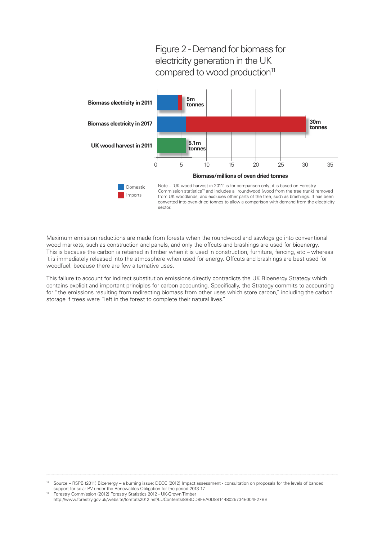

Maximum emission reductions are made from forests when the roundwood and sawlogs go into conventional wood markets, such as construction and panels, and only the offcuts and brashings are used for bioenergy. This is because the carbon is retained in timber when it is used in construction, furniture, fencing, etc – whereas it is immediately released into the atmosphere when used for energy. Offcuts and brashings are best used for woodfuel, because there are few alternative uses.

This failure to account for indirect substitution emissions directly contradicts the UK Bioenergy Strategy which contains explicit and important principles for carbon accounting. Specifically, the Strategy commits to accounting for "the emissions resulting from redirecting biomass from other uses which store carbon," including the carbon storage if trees were "left in the forest to complete their natural lives."

Source – RSPB (2011) Bioenergy – a burning issue; DECC (2012) Impact assessment - consultation on proposals for the levels of banded support for solar PV under the Renewables Obligation for the period 2013-17

<sup>&</sup>lt;sup>12</sup> Forestry Commission (2012) Forestry Statistics 2012 - UK-Grown Timber http://www.forestry.gov.uk/website/forstats2012.nsf/LUContents/88BDD8FEA0D881448025734E004F27BB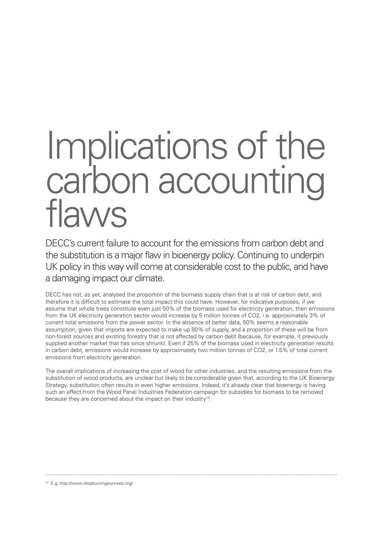# Implications of the carbon accounting<br>flaws

DECC's current failure to account for the emissions from carbon debt and the substitution is a major flaw in bioenergy policy. Continuing to underpin UK policy in this way will come at considerable cost to the public, and have a damaging impact our climate.

DECC has not, as yet, analysed the proportion of the biomass supply chain that is at risk of carbon debt, and therefore it is difficult to estimate the total impact this could have. However, for indicative purposes, if we assume that whole trees constitute even just 50% of the biomass used for electricity generation, then emissions from the UK electricity generation sector would increase by 5 million tonnes of CO2, i.e. approximately 3% of current total emissions from the power sector. In the absence of better data, 50% seems a reasonable assumption, given that imports are expected to make up 80% of supply, and a proportion of these will be from non-forest sources and existing forestry that is not affected by carbon debt (because, for example, it previously supplied another market that has since shrunk). Even if 25% of the biomass used in electricity generation results in carbon debt, emissions would increase by approximately two million tonnes of CO2, or 1.5% of total current emissions from electricity generation.

The overall implications of increasing the cost of wood for other industries, and the resulting emissions from the substitution of wood products, are unclear but likely to be considerable given that, according to the UK Bioenergy Strategy, substitution often results in even higher emissions. Indeed, it's already clear that bioenergy is having such an effect from the Wood Panel Industries Federation campaign for subsidies for biomass to be removed because they are concerned about the impact on their industry<sup>13</sup>.

<sup>13</sup> E.g. http://www.stopburningourtrees.org/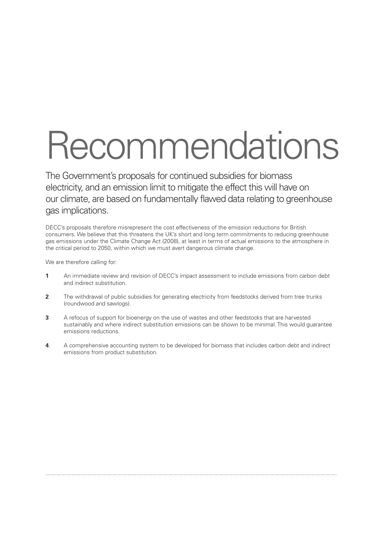### Recommendations

The Government's proposals for continued subsidies for biomass electricity, and an emission limit to mitigate the effect this will have on our climate, are based on fundamentally flawed data relating to greenhouse gas implications.

DECC's proposals therefore misrepresent the cost effectiveness of the emission reductions for British consumers. We believe that this threatens the UK's short and long term commitments to reducing greenhouse gas emissions under the Climate Change Act (2008), at least in terms of actual emissions to the atmosphere in the critical period to 2050, within which we must avert dangerous climate change.

We are therefore calling for:

- **1** An immediate review and revision of DECC's impact assessment to include emissions from carbon debt and indirect substitution.
- **2** The withdrawal of public subsidies for generating electricity from feedstocks derived from tree trunks (roundwood and sawlogs).
- **3** A refocus of support for bioenergy on the use of wastes and other feedstocks that are harvested sustainably and where indirect substitution emissions can be shown to be minimal. This would guarantee emissions reductions.
- **4**. A comprehensive accounting system to be developed for biomass that includes carbon debt and indirect emissions from product substitution.